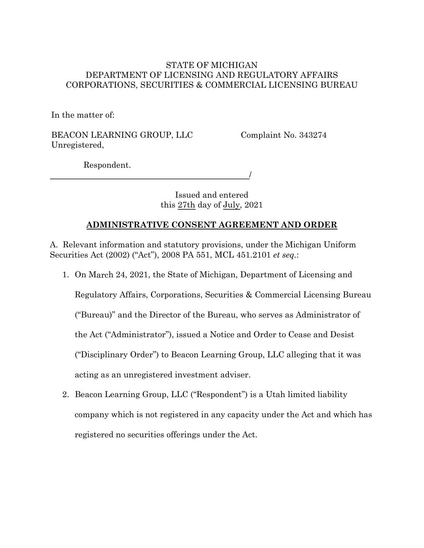# STATE OF MICHIGAN DEPARTMENT OF LICENSING AND REGULATORY AFFAIRS CORPORATIONS, SECURITIES & COMMERCIAL LICENSING BUREAU

In the matter of:

BEACON LEARNING GROUP, LLC Unregistered,

Complaint No. 343274

/

Respondent.

Issued and entered this 27th day of July, 2021

# **ADMINISTRATIVE CONSENT AGREEMENT AND ORDER**

A. Relevant information and statutory provisions, under the Michigan Uniform Securities Act (2002) ("Act"), 2008 PA 551, MCL 451.2101 *et seq.*:

- 1. On March 24, 2021, the State of Michigan, Department of Licensing and Regulatory Affairs, Corporations, Securities & Commercial Licensing Bureau ("Bureau)" and the Director of the Bureau, who serves as Administrator of the Act ("Administrator"), issued a Notice and Order to Cease and Desist ("Disciplinary Order") to Beacon Learning Group, LLC alleging that it was acting as an unregistered investment adviser.
- 2. Beacon Learning Group, LLC ("Respondent") is a Utah limited liability company which is not registered in any capacity under the Act and which has registered no securities offerings under the Act.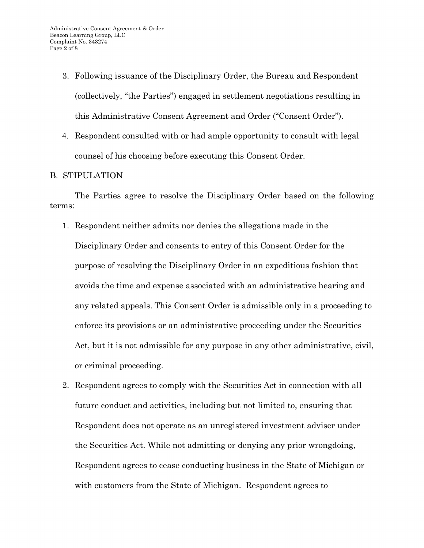- 3. Following issuance of the Disciplinary Order, the Bureau and Respondent (collectively, "the Parties") engaged in settlement negotiations resulting in this Administrative Consent Agreement and Order ("Consent Order").
- 4. Respondent consulted with or had ample opportunity to consult with legal counsel of his choosing before executing this Consent Order.

# B. STIPULATION

The Parties agree to resolve the Disciplinary Order based on the following terms:

- 1. Respondent neither admits nor denies the allegations made in the Disciplinary Order and consents to entry of this Consent Order for the purpose of resolving the Disciplinary Order in an expeditious fashion that avoids the time and expense associated with an administrative hearing and any related appeals. This Consent Order is admissible only in a proceeding to enforce its provisions or an administrative proceeding under the Securities Act, but it is not admissible for any purpose in any other administrative, civil, or criminal proceeding.
- 2. Respondent agrees to comply with the Securities Act in connection with all future conduct and activities, including but not limited to, ensuring that Respondent does not operate as an unregistered investment adviser under the Securities Act. While not admitting or denying any prior wrongdoing, Respondent agrees to cease conducting business in the State of Michigan or with customers from the State of Michigan. Respondent agrees to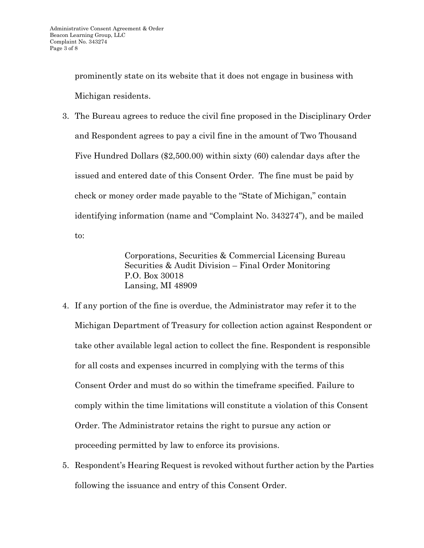prominently state on its website that it does not engage in business with Michigan residents.

3. The Bureau agrees to reduce the civil fine proposed in the Disciplinary Order and Respondent agrees to pay a civil fine in the amount of Two Thousand Five Hundred Dollars (\$2,500.00) within sixty (60) calendar days after the issued and entered date of this Consent Order. The fine must be paid by check or money order made payable to the "State of Michigan," contain identifying information (name and "Complaint No. 343274"), and be mailed to:

> Corporations, Securities & Commercial Licensing Bureau Securities & Audit Division – Final Order Monitoring P.O. Box 30018 Lansing, MI 48909

- 4. If any portion of the fine is overdue, the Administrator may refer it to the Michigan Department of Treasury for collection action against Respondent or take other available legal action to collect the fine. Respondent is responsible for all costs and expenses incurred in complying with the terms of this Consent Order and must do so within the timeframe specified. Failure to comply within the time limitations will constitute a violation of this Consent Order. The Administrator retains the right to pursue any action or proceeding permitted by law to enforce its provisions.
- 5. Respondent's Hearing Request is revoked without further action by the Parties following the issuance and entry of this Consent Order.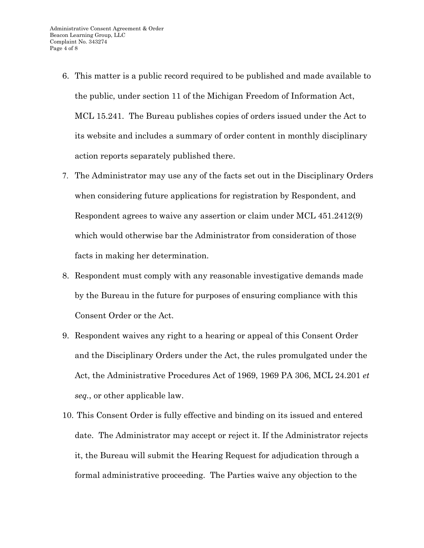- 6. This matter is a public record required to be published and made available to the public, under section 11 of the Michigan Freedom of Information Act, MCL 15.241. The Bureau publishes copies of orders issued under the Act to its website and includes a summary of order content in monthly disciplinary action reports separately published there.
- 7. The Administrator may use any of the facts set out in the Disciplinary Orders when considering future applications for registration by Respondent, and Respondent agrees to waive any assertion or claim under MCL 451.2412(9) which would otherwise bar the Administrator from consideration of those facts in making her determination.
- 8. Respondent must comply with any reasonable investigative demands made by the Bureau in the future for purposes of ensuring compliance with this Consent Order or the Act.
- 9. Respondent waives any right to a hearing or appeal of this Consent Order and the Disciplinary Orders under the Act, the rules promulgated under the Act, the Administrative Procedures Act of 1969, 1969 PA 306, MCL 24.201 *et seq.*, or other applicable law.
- 10. This Consent Order is fully effective and binding on its issued and entered date. The Administrator may accept or reject it. If the Administrator rejects it, the Bureau will submit the Hearing Request for adjudication through a formal administrative proceeding. The Parties waive any objection to the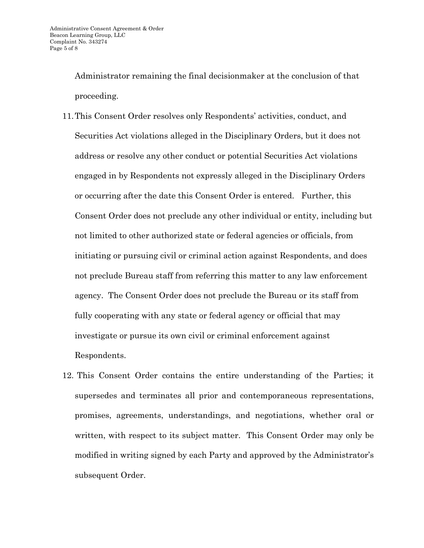Administrator remaining the final decisionmaker at the conclusion of that proceeding.

- 11.This Consent Order resolves only Respondents' activities, conduct, and Securities Act violations alleged in the Disciplinary Orders, but it does not address or resolve any other conduct or potential Securities Act violations engaged in by Respondents not expressly alleged in the Disciplinary Orders or occurring after the date this Consent Order is entered. Further, this Consent Order does not preclude any other individual or entity, including but not limited to other authorized state or federal agencies or officials, from initiating or pursuing civil or criminal action against Respondents, and does not preclude Bureau staff from referring this matter to any law enforcement agency. The Consent Order does not preclude the Bureau or its staff from fully cooperating with any state or federal agency or official that may investigate or pursue its own civil or criminal enforcement against Respondents.
- 12. This Consent Order contains the entire understanding of the Parties; it supersedes and terminates all prior and contemporaneous representations, promises, agreements, understandings, and negotiations, whether oral or written, with respect to its subject matter. This Consent Order may only be modified in writing signed by each Party and approved by the Administrator's subsequent Order.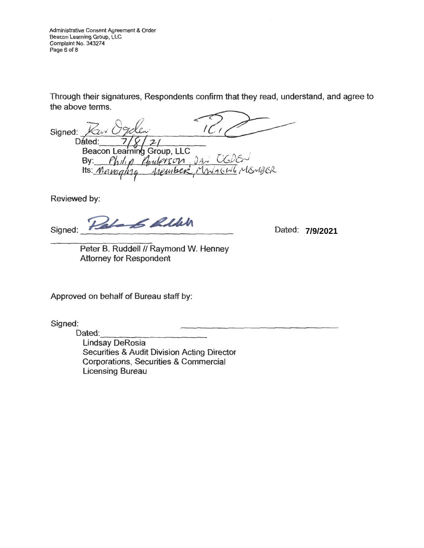Administrative Consent Agreement & Order Beacon Learning Group, LLC Complaint **No.** 343274 Page 6 of 8

Through their signatures, Respondents confirm that they read, understand, and agree to the above terms.

Signed: Dated: Beacon Learning Group, LLC By: *Philip Anderson Jan CCDE*  $Its: *Manahba*$ 

Reviewed by:

Signed: Palado Blick

**7/9/2021** Dated:

Peter B. Ruddell // Raymond W. Henney Attorney for Respondent

Approved on behalf of Bureau staff by:

Signed:

Dated:<br>Lindsay DeRosia Securities & Audit Division Acting Director Corporations, Securities & Commercial Licensing Bureau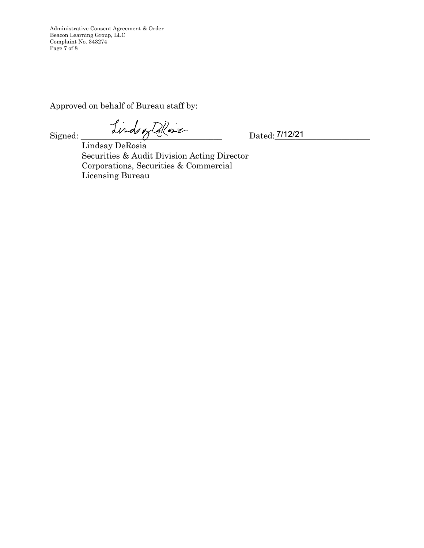Administrative Consent Agreement & Order Beacon Learning Group, LLC Complaint No. 343274 Page 7 of 8

Approved on behalf of Bureau staff by:

Signed: dinds y Doller

Dated: 7/12/21

 Lindsay DeRosia Securities & Audit Division Acting Director Corporations, Securities & Commercial Licensing Bureau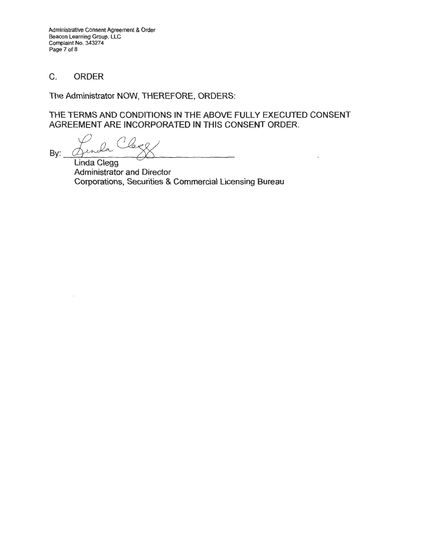Administrative Consent Agreement & Order Beacon learning Group, LLC Complaint **No.** 343274 Page 7 of 8

# C. ORDER

The Administrator NOW, THEREFORE, ORDERS:

THE TERMS AND CONDITIONS IN THE ABOVE FULLY EXECUTED CONSENT

AGREEMENT ARE INCORPORATED IN THIS CONSENT ORDER.<br>By: <u>A</u>traca Clear Sex By:

Administrator and Director Linda Clegg Corporations, Securities & Commercial Licensing Bureau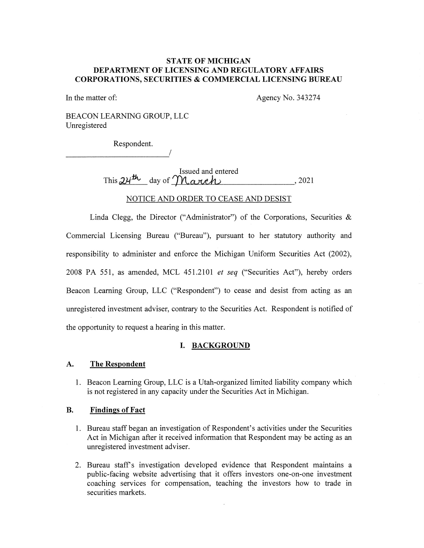## **STATE OF MICHIGAN DEPARTMENT OF LICENSING AND REGULATORY AFFAIRS CORPORATIONS, SECURITIES & COMMERCIAL LICENSING BUREAU**

In the matter of:

Agency No. 343274

BEACON LEARNING GROUP, LLC Unregistered

Respondent.

I

Issued and entered This  $24^{th}$  day of  $M_{\text{a}}$  related to  $\sim$ , 2021

## NOTICE AND ORDER TO CEASE AND DESIST

Linda Clegg, the Director ("Administrator") of the Corporations, Securities & Commercial Licensing Bureau ("Bureau"), pursuant to her statutory authority and responsibility to administer and enforce the Michigan Uniform Securities Act (2002), 2008 PA 551, as amended, MCL 451.2101 *et seq* ("Securities Act"), hereby orders Beacon Leaming Group, LLC ("Respondent") to cease and desist from acting as an unregistered investment adviser, contrary to the Securities Act. Respondent is notified of the opportunity to request a hearing in this matter.

#### **I. BACKGROUND**

#### **A. The Respondent**

1. Beacon Leaming Group, LLC is a Utah-organized limited liability company which is not registered in any capacity under the Securities Act in Michigan.

#### **B. Findings of Fact**

- 1. Bureau staff began an investigation of Respondent's activities under the Securities Act in Michigan after it received information that Respondent may be acting as an unregistered investment adviser.
- 2. Bureau staff's investigation developed evidence that Respondent maintains a public-facing website advertising that it offers investors one-on-one investment coaching services for compensation, teaching the investors how to trade in securities markets.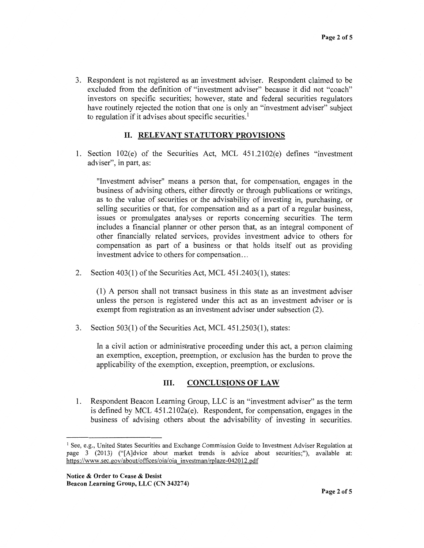3. Respondent is not registered as an investment adviser. Respondent claimed to be excluded from the definition of "investment adviser" because it did not "coach" investors on specific securities; however, state and federal securities regulators have routinely rejected the notion that one is only an "investment adviser" subject to regulation if it advises about specific securities.<sup>1</sup>

## II. **RELEVANT STATUTORY PROVISIONS**

1. Section 102(e) of the Securities Act, MCL 451.2102(e) defines "investment adviser", in part, as:

"Investment adviser" means a person that, for compensation, engages in the business of advising others, either directly or through publications or writings, as to the value of securities or the advisability of investing in, purchasing, or selling securities or that, for compensation and as a part of a regular business, issues or promulgates analyses or reports concerning securities. The term includes a financial planner or other person that, as an integral component of other financially related services, provides investment advice to others for compensation as part of a business or that holds itself out as providing investment advice to others for compensation...

2. Section 403(1) of the Securities Act, MCL 451.2403(1), states:

(1) A person shall not transact business in this state as an investment adviser unless the person is registered under this act as an investment adviser or is exempt from registration as an investment adviser under subsection (2).

3. Section 503(1) of the Securities Act, MCL 451.2503(1), states:

In a civil action or administrative proceeding under this act, a person claiming an exemption, exception, preemption, or exclusion has the burden to prove the applicability of the exemption, exception, preemption, or exclusions.

## III. **CONCLUSIONS OF LAW**

1. Respondent Beacon Leaming Group, LLC is an "investment adviser" as the term is defined by MCL 451.2102a(e). Respondent, for compensation, engages in the business of advising others about the advisability of investing in securities.

<sup>&</sup>lt;sup>1</sup> See, e.g., United States Securities and Exchange Commission Guide to Investment Adviser Regulation at page 3 (2013) ("[A]dvice about market trends is advice about securities;"), available at: https://www.sec.gov/about/offices/oia/ oia investman/rplaze-042012.pdf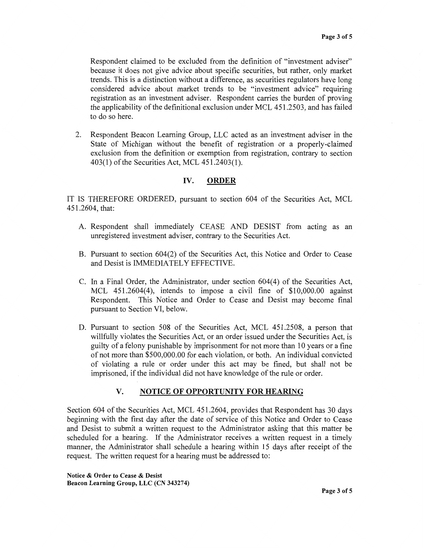Respondent claimed to be excluded from the definition of "investment adviser" because it does not give advice about specific securities, but rather, only market trends. This is a distinction without a difference, as securities regulators have long considered advice about market trends to be "investment advice" requiring registration as an investment adviser. Respondent carries the burden of proving the applicability of the definitional exclusion under MCL 451.2503, and has failed to do so here.

2. Respondent Beacon Leaming Group, LLC acted as an investment adviser in the State of Michigan without the benefit of registration or a properly-claimed exclusion from the definition or exemption from registration, contrary to section 403(1) of the Securities Act, MCL 451.2403(1).

## **IV. ORDER**

IT IS THEREFORE ORDERED, pursuant to section 604 of the Securities Act, MCL 451.2604, that:

- A. Respondent shall immediately CEASE AND DESIST from acting as an unregistered investment adviser, contrary to the Securities Act.
- B. Pursuant to section 604(2) of the Securities Act, this Notice and Order to Cease and Desist is IMMEDIATELY EFFECTIVE.
- C. In a Final Order, the Administrator, under section 604(4) of the Securities Act, MCL 451.2604(4), intends to impose a civil fine of \$10,000.00 against Respondent. This Notice and Order to Cease and Desist may become final pursuant to Section VI, below.
- D. Pursuant to section 508 of the Securities Act, MCL 451.2508, a person that willfully violates the Securities Act, or an order issued under the Securities Act, is guilty of a felony punishable by imprisonment for not more than 10 years or a fine of not more than \$500,000.00 for each violation, or both. An individual convicted of violating a rule or order under this act may be fined, but shall not be imprisoned, if the individual did not have knowledge of the rule or order.

### **V. NOTICE OF OPPORTUNITY FOR HEARING**

Section 604 of the Securities Act, MCL 451.2604, provides that Respondent has 30 days beginning with the first day after the date of service of this Notice and Order to Cease and Desist to submit a written request to the Administrator asking that this matter be scheduled for a hearing. If the Administrator receives a written request in a timely manner, the Administrator shall schedule a hearing within 15 days after receipt of the request. The written request for a hearing must be addressed to:

**Notice** & **Order to Cease** & **Desist Beacon Learning Group, LLC (CN 343274)**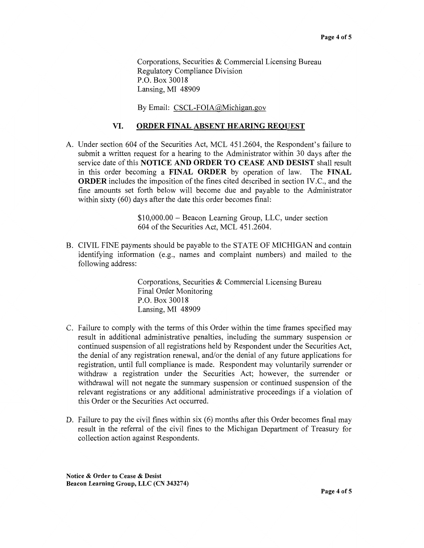Corporations, Securities & Commercial Licensing Bureau Regulatory Compliance Division P.O. Box 30018 Lansing, MI 48909

By Email: CSCL-FOIA@Michigan.gov

#### **VI. ORDER FINAL ABSENT HEARING REQUEST**

A. Under section 604 of the Securities Act, MCL 451.2604, the Respondent's failure to submit a written request for a hearing to the Administrator within 30 days after the service date of this **NOTICE AND ORDER TO CEASE AND DESIST** shall result in this order becoming a **FINAL ORDER** by operation of law. The **FINAL ORDER** includes the imposition of the fines cited described in section IV.C., and the fine amounts set forth below will become due and payable to the Administrator within sixty (60) days after the date this order becomes final:

> \$10,000.00 - Beacon Leaming Group, LLC, under section 604 of the Securities Act, MCL 451.2604.

B. CIVIL FINE payments should be payable to the STATE OF MICHIGAN and contain identifying information (e.g., names and complaint numbers) and mailed to the following address:

> Corporations, Securities & Commercial Licensing Bureau Final Order Monitoring P.O. Box 30018 Lansing, MI 48909

- C. Failure to comply with the terms of this Order within the time frames specified may result in additional administrative penalties, including the summary suspension or continued suspension of all registrations held by Respondent under the Securities Act, the denial of any registration renewal, and/or the denial of any future applications for registration, until full compliance is made. Respondent may voluntarily surrender or withdraw a registration under the Securities Act; however, the surrender or withdrawal will not negate the summary suspension or continued suspension of the relevant registrations or any additional administrative proceedings if a violation of this Order or the Securities Act occurred.
- D. Failure to pay the civil fines within six (6) months after this Order becomes final may result in the referral of the civil fines to the Michigan Department of Treasury for collection action against Respondents.

**Notice** & **Order to Cease** & **Desist Beacon Learning Group, LLC (CN 343274)**